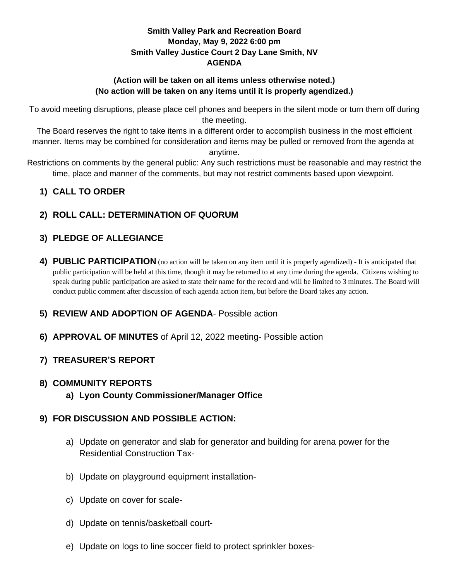### **Smith Valley Park and Recreation Board Monday, May 9, 2022 6:00 pm Smith Valley Justice Court 2 Day Lane Smith, NV AGENDA**

### **(Action will be taken on all items unless otherwise noted.) (No action will be taken on any items until it is properly agendized.)**

To avoid meeting disruptions, please place cell phones and beepers in the silent mode or turn them off during the meeting.

The Board reserves the right to take items in a different order to accomplish business in the most efficient manner. Items may be combined for consideration and items may be pulled or removed from the agenda at anytime.

Restrictions on comments by the general public: Any such restrictions must be reasonable and may restrict the time, place and manner of the comments, but may not restrict comments based upon viewpoint.

## **1) CALL TO ORDER**

# **2) ROLL CALL: DETERMINATION OF QUORUM**

# **3) PLEDGE OF ALLEGIANCE**

**4) PUBLIC PARTICIPATION** (no action will be taken on any item until it is properly agendized) - It is anticipated that public participation will be held at this time, though it may be returned to at any time during the agenda. Citizens wishing to speak during public participation are asked to state their name for the record and will be limited to 3 minutes. The Board will conduct public comment after discussion of each agenda action item, but before the Board takes any action.

## **5) REVIEW AND ADOPTION OF AGENDA**- Possible action

**6) APPROVAL OF MINUTES** of April 12, 2022 meeting- Possible action

# **7) TREASURER'S REPORT**

## **8) COMMUNITY REPORTS**

**a) Lyon County Commissioner/Manager Office**

## **9) FOR DISCUSSION AND POSSIBLE ACTION:**

- a) Update on generator and slab for generator and building for arena power for the Residential Construction Tax-
- b) Update on playground equipment installation-
- c) Update on cover for scale-
- d) Update on tennis/basketball court-
- e) Update on logs to line soccer field to protect sprinkler boxes-